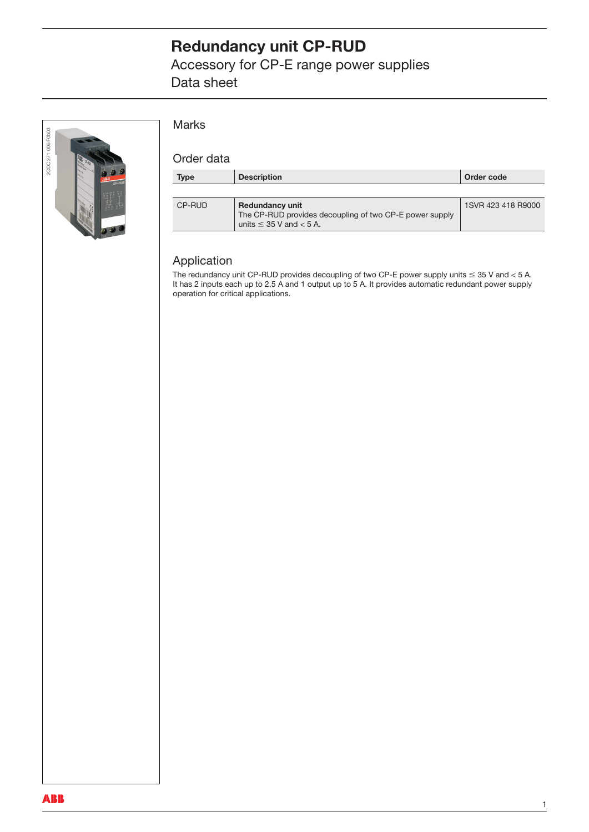# **Redundancy unit CP-RUD**

Accessory for CP-E range power supplies Data sheet



#### Marks

#### Order data

| Type   | <b>Description</b>                                                                                                  | Order code         |
|--------|---------------------------------------------------------------------------------------------------------------------|--------------------|
|        |                                                                                                                     |                    |
| CP-RUD | <b>Redundancy unit</b><br>The CP-RUD provides decoupling of two CP-E power supply<br>units $\leq$ 35 V and $<$ 5 A. | 1SVR 423 418 R9000 |

#### Application

The redundancy unit CP-RUD provides decoupling of two CP-E power supply units  $\le$  35 V and  $<$  5 A. It has 2 inputs each up to 2.5 A and 1 output up to 5 A. It provides automatic redundant power supply operation for critical applications.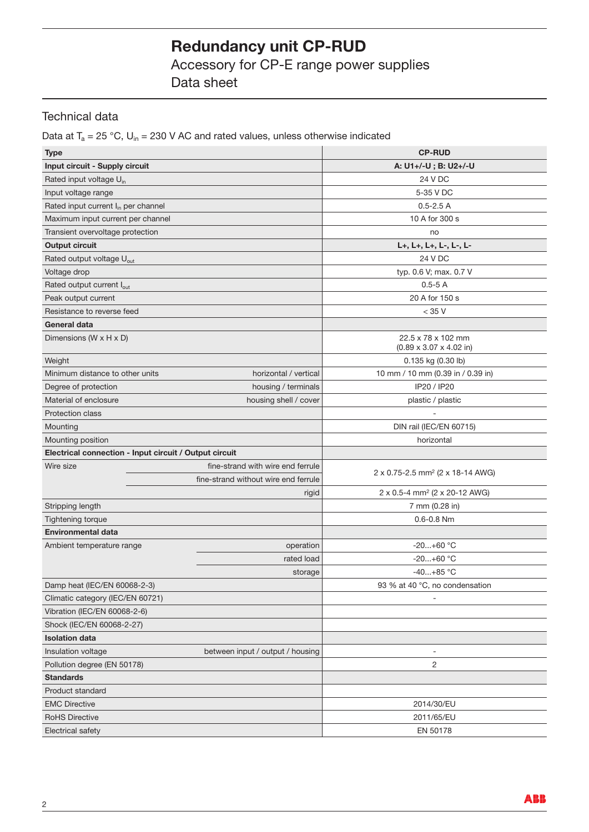# **Redundancy unit CP-RUD**

Accessory for CP-E range power supplies Data sheet

### Technical data

Data at  $T_a = 25 °C$ ,  $U_{in} = 230 V AC$  and rated values, unless otherwise indicated

| <b>Type</b>                                            |  |                                      | <b>CP-RUD</b>                                              |  |
|--------------------------------------------------------|--|--------------------------------------|------------------------------------------------------------|--|
| Input circuit - Supply circuit                         |  |                                      | A: U1+/-U; B: U2+/-U                                       |  |
| Rated input voltage U <sub>in</sub>                    |  |                                      | 24 V DC                                                    |  |
| Input voltage range                                    |  |                                      | 5-35 V DC                                                  |  |
| Rated input current I <sub>in</sub> per channel        |  |                                      | $0.5 - 2.5 A$                                              |  |
| Maximum input current per channel                      |  |                                      | 10 A for 300 s                                             |  |
| Transient overvoltage protection                       |  |                                      | no                                                         |  |
| <b>Output circuit</b>                                  |  |                                      | L+, L+, L+, L-, L-, L-                                     |  |
| Rated output voltage U <sub>out</sub>                  |  |                                      | 24 V DC                                                    |  |
| Voltage drop                                           |  |                                      | typ. 0.6 V; max. 0.7 V                                     |  |
| Rated output current lout                              |  |                                      | $0.5 - 5A$                                                 |  |
| Peak output current                                    |  |                                      | 20 A for 150 s                                             |  |
| Resistance to reverse feed                             |  |                                      | $<$ 35 V                                                   |  |
| General data                                           |  |                                      |                                                            |  |
| Dimensions (W x H x D)                                 |  |                                      | 22.5 x 78 x 102 mm<br>$(0.89 \times 3.07 \times 4.02)$ in) |  |
| Weight                                                 |  |                                      | 0.135 kg (0.30 lb)                                         |  |
| Minimum distance to other units                        |  | horizontal / vertical                | 10 mm / 10 mm (0.39 in / 0.39 in)                          |  |
| Degree of protection                                   |  | housing / terminals                  | IP20 / IP20                                                |  |
| Material of enclosure                                  |  | housing shell / cover                | plastic / plastic                                          |  |
| <b>Protection class</b>                                |  |                                      |                                                            |  |
| Mounting                                               |  |                                      | DIN rail (IEC/EN 60715)                                    |  |
| Mounting position                                      |  |                                      | horizontal                                                 |  |
| Electrical connection - Input circuit / Output circuit |  |                                      |                                                            |  |
| Wire size                                              |  | fine-strand with wire end ferrule    |                                                            |  |
|                                                        |  | fine-strand without wire end ferrule | 2 x 0.75-2.5 mm <sup>2</sup> (2 x 18-14 AWG)               |  |
|                                                        |  | rigid                                | 2 x 0.5-4 mm <sup>2</sup> (2 x 20-12 AWG)                  |  |
| Stripping length                                       |  |                                      | 7 mm (0.28 in)                                             |  |
| Tightening torque                                      |  |                                      | $0.6 - 0.8$ Nm                                             |  |
| <b>Environmental data</b>                              |  |                                      |                                                            |  |
| Ambient temperature range                              |  | operation                            | $-20+60$ °C                                                |  |
|                                                        |  | rated load                           | $-20+60$ °C                                                |  |
|                                                        |  | storage                              | $-40+85$ °C                                                |  |
| Damp heat (IEC/EN 60068-2-3)                           |  |                                      | 93 % at 40 °C, no condensation                             |  |
| Climatic category (IEC/EN 60721)                       |  |                                      | $\overline{\phantom{a}}$                                   |  |
| Vibration (IEC/EN 60068-2-6)                           |  |                                      |                                                            |  |
| Shock (IEC/EN 60068-2-27)                              |  |                                      |                                                            |  |
| <b>Isolation data</b>                                  |  |                                      |                                                            |  |
| Insulation voltage<br>between input / output / housing |  |                                      |                                                            |  |
| Pollution degree (EN 50178)                            |  |                                      | 2                                                          |  |
| <b>Standards</b>                                       |  |                                      |                                                            |  |
| Product standard                                       |  |                                      |                                                            |  |
| <b>EMC Directive</b>                                   |  |                                      | 2014/30/EU                                                 |  |
| <b>RoHS Directive</b>                                  |  |                                      | 2011/65/EU                                                 |  |
| Electrical safety                                      |  |                                      | EN 50178                                                   |  |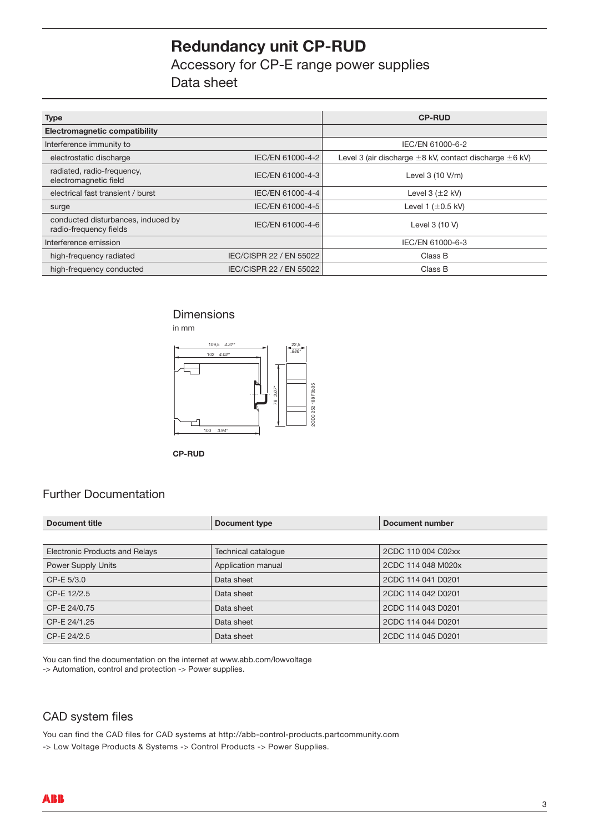# **Redundancy unit CP-RUD**

Accessory for CP-E range power supplies Data sheet

| <b>Type</b>                                                  |                         | <b>CP-RUD</b>                                                    |
|--------------------------------------------------------------|-------------------------|------------------------------------------------------------------|
| Electromagnetic compatibility                                |                         |                                                                  |
| Interference immunity to                                     |                         | IEC/EN 61000-6-2                                                 |
| electrostatic discharge                                      | IEC/EN 61000-4-2        | Level 3 (air discharge $\pm 8$ kV, contact discharge $\pm 6$ kV) |
| radiated, radio-frequency,<br>electromagnetic field          | IEC/EN 61000-4-3        | Level 3 (10 V/m)                                                 |
| electrical fast transient / burst                            | IEC/EN 61000-4-4        | Level $3 (+2 kV)$                                                |
| surge                                                        | IEC/EN 61000-4-5        | Level 1 $(\pm 0.5 \text{ kV})$                                   |
| conducted disturbances, induced by<br>radio-frequency fields | IEC/EN 61000-4-6        | Level 3 (10 V)                                                   |
| Interference emission                                        |                         | IEC/EN 61000-6-3                                                 |
| high-frequency radiated                                      | IEC/CISPR 22 / EN 55022 | Class B                                                          |
| high-frequency conducted                                     | IEC/CISPR 22 / EN 55022 | Class B                                                          |

### **Dimensions**



### Further Documentation

| 2CDC 252 188 F0b05<br>3.07"<br>$100$ $3.94$ "<br><b>CP-RUD</b>                                                                                           |                                                                                             |                        |  |  |  |  |
|----------------------------------------------------------------------------------------------------------------------------------------------------------|---------------------------------------------------------------------------------------------|------------------------|--|--|--|--|
| <b>Further Documentation</b>                                                                                                                             |                                                                                             |                        |  |  |  |  |
| <b>Document title</b>                                                                                                                                    | <b>Document type</b>                                                                        | <b>Document number</b> |  |  |  |  |
|                                                                                                                                                          |                                                                                             |                        |  |  |  |  |
| <b>Electronic Products and Relays</b>                                                                                                                    | Technical catalogue                                                                         | 2CDC 110 004 C02xx     |  |  |  |  |
| Power Supply Units                                                                                                                                       | Application manual                                                                          | 2CDC 114 048 M020x     |  |  |  |  |
| CP-E 5/3.0                                                                                                                                               | Data sheet                                                                                  | 2CDC 114 041 D0201     |  |  |  |  |
| CP-E 12/2.5                                                                                                                                              | Data sheet                                                                                  | 2CDC 114 042 D0201     |  |  |  |  |
| CP-E 24/0.75                                                                                                                                             | Data sheet                                                                                  | 2CDC 114 043 D0201     |  |  |  |  |
| CP-E 24/1.25                                                                                                                                             | Data sheet                                                                                  | 2CDC 114 044 D0201     |  |  |  |  |
| CP-E 24/2.5                                                                                                                                              | Data sheet                                                                                  | 2CDC 114 045 D0201     |  |  |  |  |
| You can find the documentation on the internet at www.abb.com/lowvoltage<br>-> Automation, control and protection -> Power supplies.<br>CAD system files |                                                                                             |                        |  |  |  |  |
|                                                                                                                                                          |                                                                                             |                        |  |  |  |  |
|                                                                                                                                                          | You can find the CAD files for CAD systems at http://abb-control-products.partcommunity.com |                        |  |  |  |  |
| -> Low Voltage Products & Systems -> Control Products -> Power Supplies.                                                                                 |                                                                                             |                        |  |  |  |  |

### CAD system files

You can find the CAD files for CAD systems at http://abb-control-products.partcommunity.com